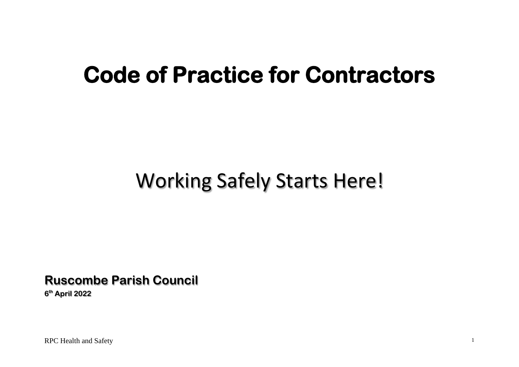# **Code of Practice for Contractors**

# Working Safely Starts Here!

**Ruscombe Parish Council**

**6 th April 2022**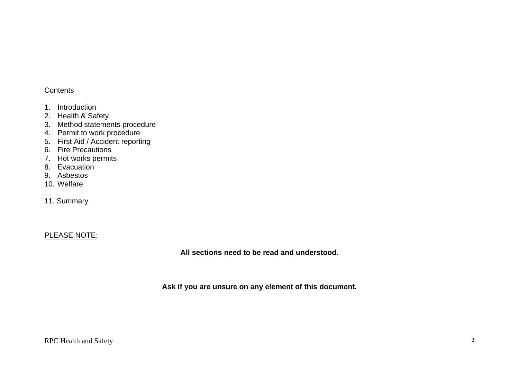#### **Contents**

- 1. Introduction
- 2. Health & Safety
- 3. Method statements procedure
- 4. Permit to work procedure
- 5. First Aid / Accident reporting
- 6. Fire Precautions
- 7. Hot works permits
- 8. Evacuation
- 9. Asbestos
- 10. Welfare
- 11. Summary

# PLEASE NOTE:

**All sections need to be read and understood.**

**Ask if you are unsure on any element of this document.**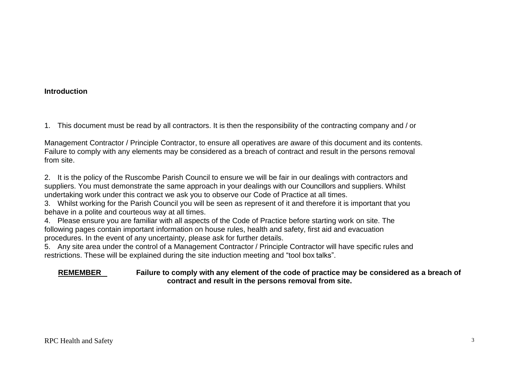#### **Introduction**

1. This document must be read by all contractors. It is then the responsibility of the contracting company and / or

Management Contractor / Principle Contractor, to ensure all operatives are aware of this document and its contents. Failure to comply with any elements may be considered as a breach of contract and result in the persons removal from site.

2. It is the policy of the Ruscombe Parish Council to ensure we will be fair in our dealings with contractors and suppliers. You must demonstrate the same approach in your dealings with our Councillors and suppliers. Whilst undertaking work under this contract we ask you to observe our Code of Practice at all times.

3. Whilst working for the Parish Council you will be seen as represent of it and therefore it is important that you behave in a polite and courteous way at all times.

4. Please ensure you are familiar with all aspects of the Code of Practice before starting work on site. The following pages contain important information on house rules, health and safety, first aid and evacuation procedures. In the event of any uncertainty, please ask for further details.

5. Any site area under the control of a Management Contractor / Principle Contractor will have specific rules and restrictions. These will be explained during the site induction meeting and "tool box talks".

#### **REMEMBER Failure to comply with any element of the code of practice may be considered as a breach of contract and result in the persons removal from site.**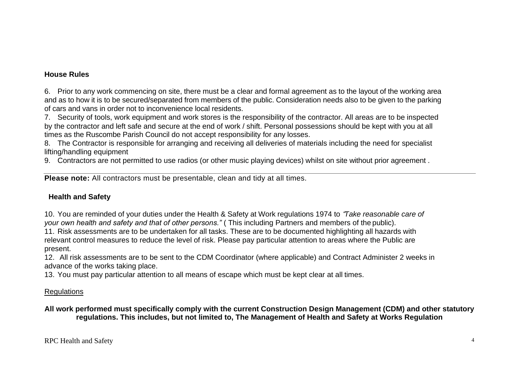## **House Rules**

6. Prior to any work commencing on site, there must be a clear and formal agreement as to the layout of the working area and as to how it is to be secured/separated from members of the public. Consideration needs also to be given to the parking of cars and vans in order not to inconvenience local residents.

7. Security of tools, work equipment and work stores is the responsibility of the contractor. All areas are to be inspected by the contractor and left safe and secure at the end of work / shift. Personal possessions should be kept with you at all times as the Ruscombe Parish Council do not accept responsibility for any losses.

8. The Contractor is responsible for arranging and receiving all deliveries of materials including the need for specialist lifting/handling equipment

9. Contractors are not permitted to use radios (or other music playing devices) whilst on site without prior agreement .

**Please note:** All contractors must be presentable, clean and tidy at all times.

# **Health and Safety**

10. You are reminded of your duties under the Health & Safety at Work regulations 1974 to "*Take reasonable care of your own health and safety and that of other persons."* ( This including Partners and members of the public).

11. Risk assessments are to be undertaken for all tasks. These are to be documented highlighting all hazards with relevant control measures to reduce the level of risk. Please pay particular attention to areas where the Public are present.

12. All risk assessments are to be sent to the CDM Coordinator (where applicable) and Contract Administer 2 weeks in advance of the works taking place.

13. You must pay particular attention to all means of escape which must be kept clear at all times.

#### Regulations

**All work performed must specifically comply with the current Construction Design Management (CDM) and other statutory regulations. This includes, but not limited to, The Management of Health and Safety at Works Regulation**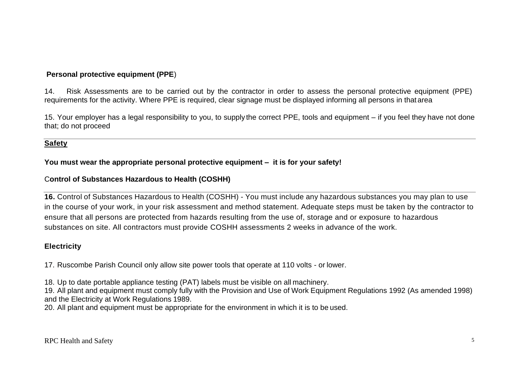# **Personal protective equipment (PPE**)

14. Risk Assessments are to be carried out by the contractor in order to assess the personal protective equipment (PPE) requirements for the activity. Where PPE is required, clear signage must be displayed informing all persons in that area

15. Your employer has a legal responsibility to you, to supply the correct PPE, tools and equipment – if you feel they have not done that; do not proceed

#### **Safety**

#### **You must wear the appropriate personal protective equipment – it is for your safety!**

#### C**ontrol of Substances Hazardous to Health (COSHH)**

**16.** Control of Substances Hazardous to Health (COSHH) - You must include any hazardous substances you may plan to use in the course of your work, in your risk assessment and method statement. Adequate steps must be taken by the contractor to ensure that all persons are protected from hazards resulting from the use of, storage and or exposure to hazardous substances on site. All contractors must provide COSHH assessments 2 weeks in advance of the work.

#### **Electricity**

17. Ruscombe Parish Council only allow site power tools that operate at 110 volts - or lower.

18. Up to date portable appliance testing (PAT) labels must be visible on all machinery.

19. All plant and equipment must comply fully with the Provision and Use of Work Equipment Regulations 1992 (As amended 1998) and the Electricity at Work Regulations 1989.

20. All plant and equipment must be appropriate for the environment in which it is to be used.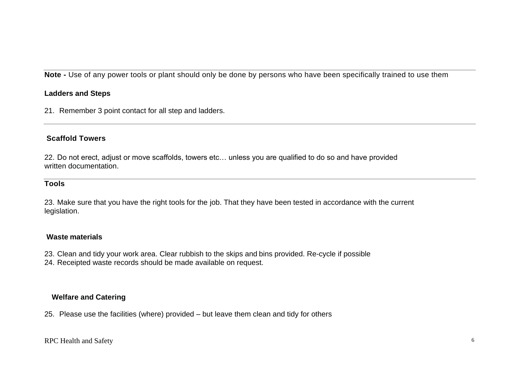**Note -** Use of any power tools or plant should only be done by persons who have been specifically trained to use them

#### **Ladders and Steps**

21. Remember 3 point contact for all step and ladders.

#### **Scaffold Towers**

22. Do not erect, adjust or move scaffolds, towers etc… unless you are qualified to do so and have provided written documentation.

#### **Tools**

23. Make sure that you have the right tools for the job. That they have been tested in accordance with the current legislation.

#### **Waste materials**

23. Clean and tidy your work area. Clear rubbish to the skips and bins provided. Re-cycle if possible 24. Receipted waste records should be made available on request.

# **Welfare and Catering**

25. Please use the facilities (where) provided – but leave them clean and tidy for others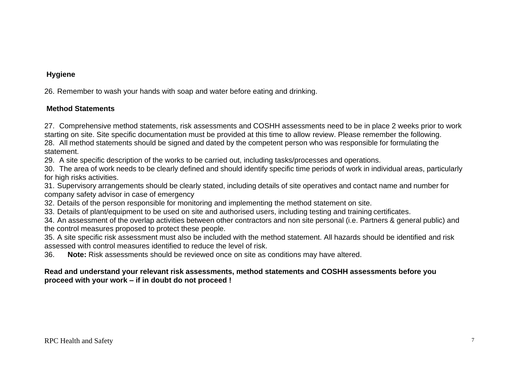# **Hygiene**

26. Remember to wash your hands with soap and water before eating and drinking.

# **Method Statements**

27. Comprehensive method statements, risk assessments and COSHH assessments need to be in place 2 weeks prior to work starting on site. Site specific documentation must be provided at this time to allow review. Please remember the following.

28. All method statements should be signed and dated by the competent person who was responsible for formulating the statement.

29. A site specific description of the works to be carried out, including tasks/processes and operations.

30. The area of work needs to be clearly defined and should identify specific time periods of work in individual areas, particularly for high risks activities.

31. Supervisory arrangements should be clearly stated, including details of site operatives and contact name and number for company safety advisor in case of emergency

32. Details of the person responsible for monitoring and implementing the method statement on site.

33. Details of plant/equipment to be used on site and authorised users, including testing and training certificates.

34. An assessment of the overlap activities between other contractors and non site personal (i.e. Partners & general public) and the control measures proposed to protect these people.

35. A site specific risk assessment must also be included with the method statement. All hazards should be identified and risk assessed with control measures identified to reduce the level of risk.

36. **Note:** Risk assessments should be reviewed once on site as conditions may have altered.

# **Read and understand your relevant risk assessments, method statements and COSHH assessments before you proceed with your work – if in doubt do not proceed !**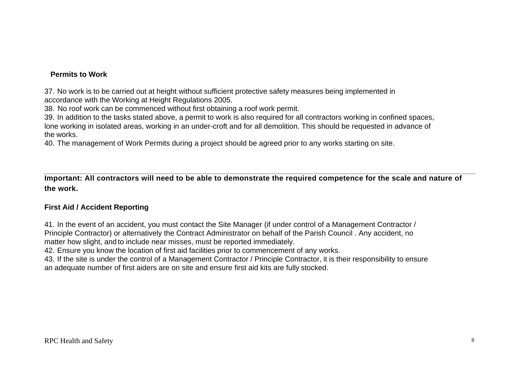#### **Permits to Work**

37. No work is to be carried out at height without sufficient protective safety measures being implemented in accordance with the Working at Height Regulations 2005.

38. No roof work can be commenced without first obtaining a roof work permit.

39. In addition to the tasks stated above, a permit to work is also required for all contractors working in confined spaces, lone working in isolated areas, working in an under-croft and for all demolition. This should be requested in advance of the works.

40. The management of Work Permits during a project should be agreed prior to any works starting on site.

**Important: All contractors will need to be able to demonstrate the required competence for the scale and nature of the work.**

# **First Aid / Accident Reporting**

41. In the event of an accident, you must contact the Site Manager (if under control of a Management Contractor / Principle Contractor) or alternatively the Contract Administrator on behalf of the Parish Council . Any accident, no matter how slight, and to include near misses, must be reported immediately.

42. Ensure you know the location of first aid facilities prior to commencement of any works.

43. If the site is under the control of a Management Contractor / Principle Contractor, it is their responsibility to ensure an adequate number of first aiders are on site and ensure first aid kits are fully stocked.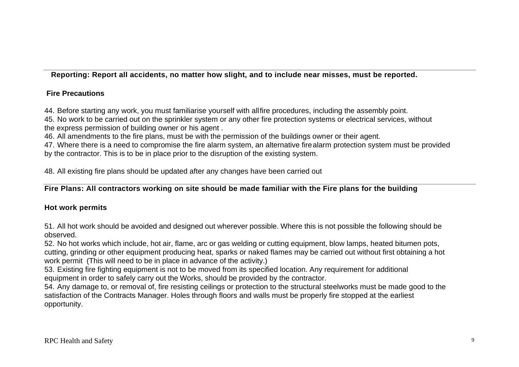**Reporting: Report all accidents, no matter how slight, and to include near misses, must be reported.**

# **Fire Precautions**

44. Before starting any work, you must familiarise yourself with allfire procedures, including the assembly point.

45. No work to be carried out on the sprinkler system or any other fire protection systems or electrical services, without the express permission of building owner or his agent .

46. All amendments to the fire plans, must be with the permission of the buildings owner or their agent.

47. Where there is a need to compromise the fire alarm system, an alternative firealarm protection system must be provided by the contractor. This is to be in place prior to the disruption of the existing system.

48. All existing fire plans should be updated after any changes have been carried out

# **Fire Plans: All contractors working on site should be made familiar with the Fire plans for the building**

# **Hot work permits**

51. All hot work should be avoided and designed out wherever possible. Where this is not possible the following should be observed.

52. No hot works which include, hot air, flame, arc or gas welding or cutting equipment, blow lamps, heated bitumen pots, cutting, grinding or other equipment producing heat, sparks or naked flames may be carried out without first obtaining a hot work permit (This will need to be in place in advance of the activity.)

53. Existing fire fighting equipment is not to be moved from its specified location. Any requirement for additional equipment in order to safely carry out the Works, should be provided by the contractor.

54. Any damage to, or removal of, fire resisting ceilings or protection to the structural steelworks must be made good to the satisfaction of the Contracts Manager. Holes through floors and walls must be properly fire stopped at the earliest opportunity.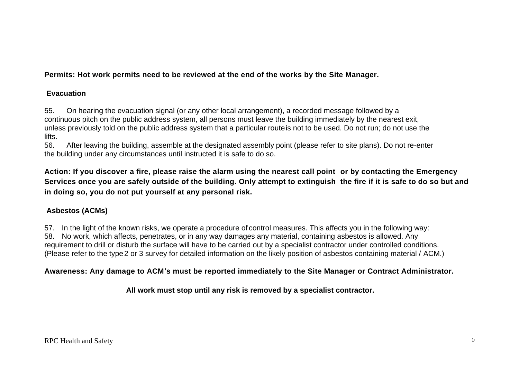**Permits: Hot work permits need to be reviewed at the end of the works by the Site Manager.**

# **Evacuation**

55. On hearing the evacuation signal (or any other local arrangement), a recorded message followed by a continuous pitch on the public address system, all persons must leave the building immediately by the nearest exit, unless previously told on the public address system that a particular routeis not to be used. Do not run; do not use the lifts.

56. After leaving the building, assemble at the designated assembly point (please refer to site plans). Do not re-enter the building under any circumstances until instructed it is safe to do so.

**Action: If you discover a fire, please raise the alarm using the nearest call point or by contacting the Emergency Services once you are safely outside of the building. Only attempt to extinguish the fire if it is safe to do so but and in doing so, you do not put yourself at any personal risk.**

# **Asbestos (ACMs)**

57. In the light of the known risks, we operate a procedure of control measures. This affects you in the following way:

58. No work, which affects, penetrates, or in any way damages any material, containing asbestos is allowed. Any requirement to drill or disturb the surface will have to be carried out by a specialist contractor under controlled conditions. (Please refer to the type2 or 3 survey for detailed information on the likely position of asbestos containing material / ACM.)

**Awareness: Any damage to ACM 's must be reported immediately to the Site Manager or Contract Administrator.**

**All work must stop until any risk is removed by a specialist contractor.**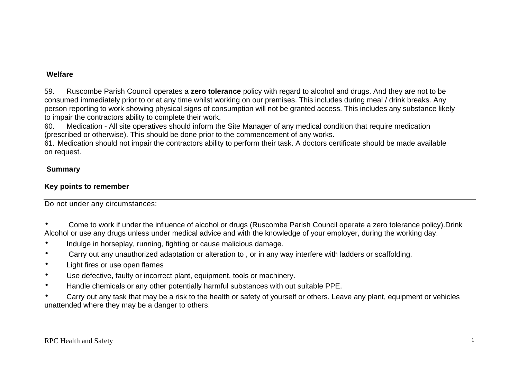## **Welfare**

59. Ruscombe Parish Council operates a **zero tolerance** policy with regard to alcohol and drugs. And they are not to be consumed immediately prior to or at any time whilst working on our premises. This includes during meal / drink breaks. Any person reporting to work showing physical signs of consumption will not be granted access. This includes any substance likely to impair the contractors ability to complete their work.

60. Medication - All site operatives should inform the Site Manager of any medical condition that require medication (prescribed or otherwise). This should be done prior to the commencement of any works.

61. Medication should not impair the contractors ability to perform their task. A doctors certificate should be made available on request.

# **Summary**

# **Key points to remember**

Do not under any circumstances:

• Come to work if under the influence of alcohol or drugs (Ruscombe Parish Council operate a zero tolerance policy).Drink Alcohol or use any drugs unless under medical advice and with the knowledge of your employer, during the working day.

- Indulge in horseplay, running, fighting or cause malicious damage.
- Carry out any unauthorized adaptation or alteration to , or in any way interfere with ladders or scaffolding.
- Light fires or use open flames
- Use defective, faulty or incorrect plant, equipment, tools or machinery.
- Handle chemicals or any other potentially harmful substances with out suitable PPE.

• Carry out any task that may be a risk to the health or safety of yourself or others. Leave any plant, equipment or vehicles unattended where they may be a danger to others.